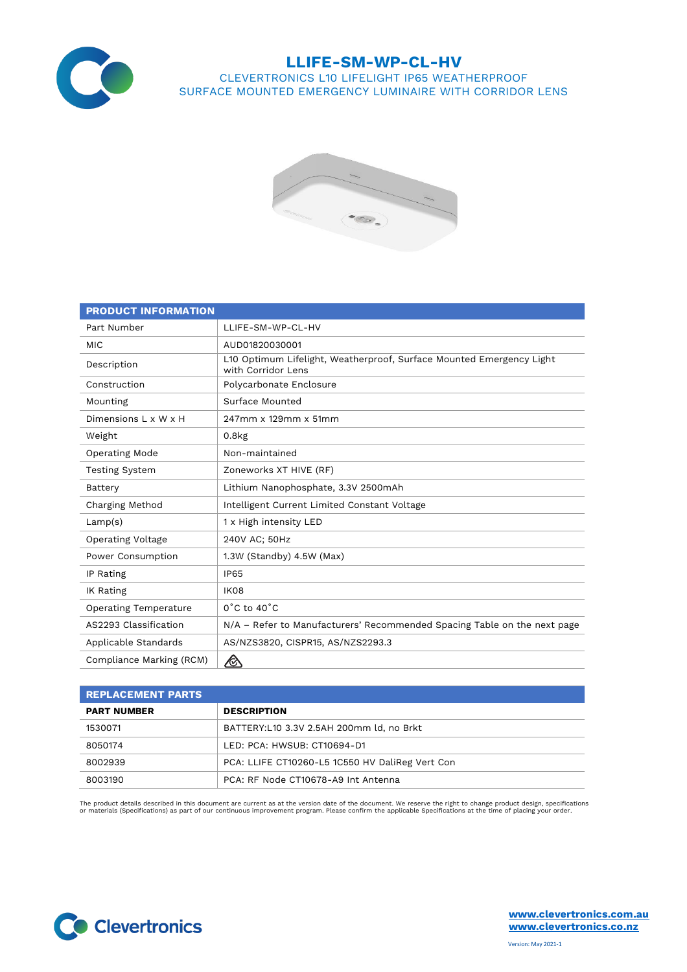

## **LLIFE-SM-WP-CL-HV** CLEVERTRONICS L10 LIFELIGHT IP65 WEATHERPROOF

SURFACE MOUNTED EMERGENCY LUMINAIRE WITH CORRIDOR LENS



| <b>PRODUCT INFORMATION</b>   |                                                                                            |
|------------------------------|--------------------------------------------------------------------------------------------|
| Part Number                  | LLIFE-SM-WP-CL-HV                                                                          |
| <b>MIC</b>                   | AUD01820030001                                                                             |
| Description                  | L10 Optimum Lifelight, Weatherproof, Surface Mounted Emergency Light<br>with Corridor Lens |
| Construction                 | Polycarbonate Enclosure                                                                    |
| Mounting                     | Surface Mounted                                                                            |
| Dimensions L x W x H         | 247mm x 129mm x 51mm                                                                       |
| Weight                       | $0.8k$ g                                                                                   |
| Operating Mode               | Non-maintained                                                                             |
| <b>Testing System</b>        | Zoneworks XT HIVE (RF)                                                                     |
| Battery                      | Lithium Nanophosphate, 3.3V 2500mAh                                                        |
| Charging Method              | Intelligent Current Limited Constant Voltage                                               |
| Lamp(s)                      | 1 x High intensity LED                                                                     |
| <b>Operating Voltage</b>     | 240V AC: 50Hz                                                                              |
| Power Consumption            | 1.3W (Standby) 4.5W (Max)                                                                  |
| IP Rating                    | <b>IP65</b>                                                                                |
| IK Rating                    | IK08                                                                                       |
| <b>Operating Temperature</b> | $0^{\circ}$ C to 40 $^{\circ}$ C                                                           |
| AS2293 Classification        | N/A – Refer to Manufacturers' Recommended Spacing Table on the next page                   |
| Applicable Standards         | AS/NZS3820, CISPR15, AS/NZS2293.3                                                          |
| Compliance Marking (RCM)     | ⚠                                                                                          |

| <b>REPLACEMENT PARTS</b> |                                                 |  |  |  |  |  |
|--------------------------|-------------------------------------------------|--|--|--|--|--|
| <b>PART NUMBER</b>       | <b>DESCRIPTION</b>                              |  |  |  |  |  |
| 1530071                  | BATTERY:L10 3.3V 2.5AH 200mm ld, no Brkt        |  |  |  |  |  |
| 8050174                  | LED: PCA: HWSUB: CT10694-D1                     |  |  |  |  |  |
| 8002939                  | PCA: LLIFE CT10260-L5 1C550 HV DaliReg Vert Con |  |  |  |  |  |
| 8003190                  | PCA: RF Node CT10678-A9 Int Antenna             |  |  |  |  |  |

The product details described in this document are current as at the version date of the document. We reserve the right to change product design, specifications<br>or materials (Specifications) as part of our continuous impro